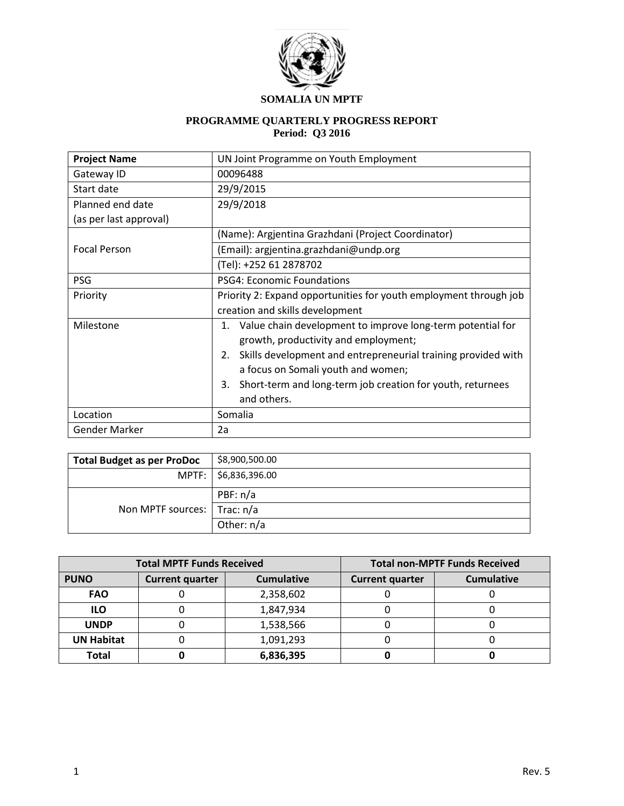

# **SOMALIA UN MPTF**

## **PROGRAMME QUARTERLY PROGRESS REPORT Period: Q3 2016**

| <b>Project Name</b>    | UN Joint Programme on Youth Employment                              |  |  |  |
|------------------------|---------------------------------------------------------------------|--|--|--|
| Gateway ID             | 00096488                                                            |  |  |  |
| Start date             | 29/9/2015                                                           |  |  |  |
| Planned end date       | 29/9/2018                                                           |  |  |  |
| (as per last approval) |                                                                     |  |  |  |
|                        | (Name): Argientina Grazhdani (Project Coordinator)                  |  |  |  |
| <b>Focal Person</b>    | (Email): argjentina.grazhdani@undp.org                              |  |  |  |
|                        | (Tel): +252 61 2878702                                              |  |  |  |
| <b>PSG</b>             | <b>PSG4: Economic Foundations</b>                                   |  |  |  |
| Priority               | Priority 2: Expand opportunities for youth employment through job   |  |  |  |
|                        | creation and skills development                                     |  |  |  |
| Milestone              | Value chain development to improve long-term potential for<br>1.    |  |  |  |
|                        | growth, productivity and employment;                                |  |  |  |
|                        | Skills development and entrepreneurial training provided with<br>2. |  |  |  |
|                        | a focus on Somali youth and women;                                  |  |  |  |
|                        | Short-term and long-term job creation for youth, returnees<br>3.    |  |  |  |
|                        | and others.                                                         |  |  |  |
| Location               | Somalia                                                             |  |  |  |
| Gender Marker          | 2a                                                                  |  |  |  |

| <b>Total Budget as per ProDoc</b> | \$8,900,500.00         |
|-----------------------------------|------------------------|
|                                   | MPTF:   \$6,836,396.00 |
|                                   | PBF: n/a               |
| Non MPTF sources:   Trac: n/a     |                        |
|                                   | Other: n/a             |

|                                       | <b>Total MPTF Funds Received</b> | <b>Total non-MPTF Funds Received</b> |                        |                   |  |
|---------------------------------------|----------------------------------|--------------------------------------|------------------------|-------------------|--|
| <b>PUNO</b><br><b>Current quarter</b> |                                  | <b>Cumulative</b>                    | <b>Current quarter</b> | <b>Cumulative</b> |  |
| <b>FAO</b>                            |                                  | 2,358,602                            |                        |                   |  |
| <b>ILO</b>                            |                                  | 1,847,934                            |                        |                   |  |
| <b>UNDP</b>                           |                                  | 1,538,566                            |                        |                   |  |
| <b>UN Habitat</b>                     | 1,091,293                        |                                      |                        |                   |  |
| Total                                 |                                  | 6,836,395                            |                        |                   |  |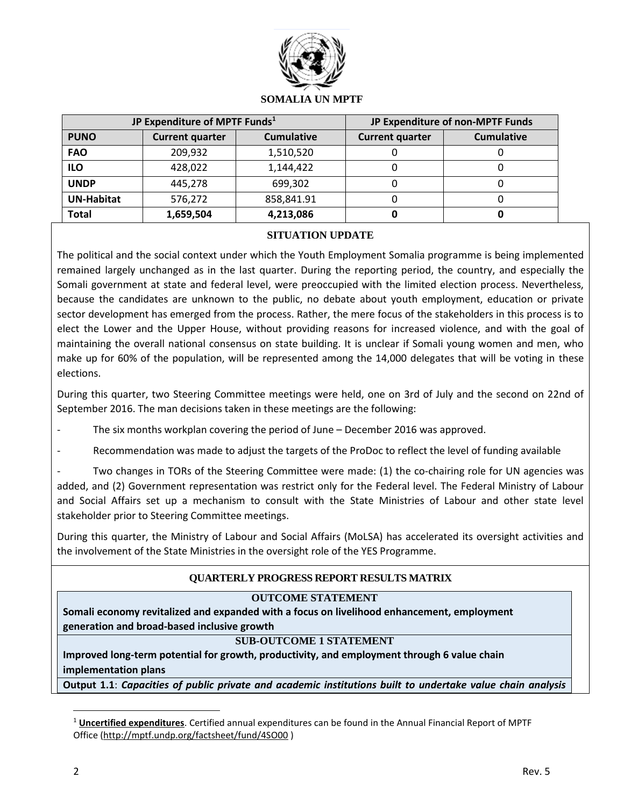

### **SOMALIA UN MPTF**

|                   | JP Expenditure of MPTF Funds <sup>1</sup> | JP Expenditure of non-MPTF Funds |                        |                   |
|-------------------|-------------------------------------------|----------------------------------|------------------------|-------------------|
| <b>PUNO</b>       | <b>Current quarter</b>                    | <b>Cumulative</b>                | <b>Current quarter</b> | <b>Cumulative</b> |
| <b>FAO</b>        | 209,932                                   | 1,510,520                        |                        |                   |
| <b>ILO</b>        | 428,022                                   | 1,144,422                        |                        |                   |
| <b>UNDP</b>       | 445.278                                   | 699,302                          |                        |                   |
| <b>UN-Habitat</b> | 576,272                                   | 858,841.91                       |                        |                   |
| <b>Total</b>      | 1,659,504                                 | 4,213,086                        |                        |                   |

### **SITUATION UPDATE**

The political and the social context under which the Youth Employment Somalia programme is being implemented remained largely unchanged as in the last quarter. During the reporting period, the country, and especially the Somali government at state and federal level, were preoccupied with the limited election process. Nevertheless, because the candidates are unknown to the public, no debate about youth employment, education or private sector development has emerged from the process. Rather, the mere focus of the stakeholders in this process is to elect the Lower and the Upper House, without providing reasons for increased violence, and with the goal of maintaining the overall national consensus on state building. It is unclear if Somali young women and men, who make up for 60% of the population, will be represented among the 14,000 delegates that will be voting in these elections.

During this quarter, two Steering Committee meetings were held, one on 3rd of July and the second on 22nd of September 2016. The man decisions taken in these meetings are the following:

The six months workplan covering the period of June – December 2016 was approved.

Recommendation was made to adjust the targets of the ProDoc to reflect the level of funding available

Two changes in TORs of the Steering Committee were made: (1) the co-chairing role for UN agencies was added, and (2) Government representation was restrict only for the Federal level. The Federal Ministry of Labour and Social Affairs set up a mechanism to consult with the State Ministries of Labour and other state level stakeholder prior to Steering Committee meetings.

During this quarter, the Ministry of Labour and Social Affairs (MoLSA) has accelerated its oversight activities and the involvement of the State Ministries in the oversight role of the YES Programme.

## **QUARTERLY PROGRESS REPORT RESULTS MATRIX**

#### **OUTCOME STATEMENT**

**Somali economy revitalized and expanded with a focus on livelihood enhancement, employment generation and broad-based inclusive growth**

#### **SUB-OUTCOME 1 STATEMENT**

**Improved long-term potential for growth, productivity, and employment through 6 value chain implementation plans**

**Output 1.1**: *Capacities of public private and academic institutions built to undertake value chain analysis* 

 $\overline{a}$ 

<sup>1</sup> **Uncertified expenditures**. Certified annual expenditures can be found in the Annual Financial Report of MPTF Office [\(http://mptf.undp.org/factsheet/fund/4SO00](http://mptf.undp.org/factsheet/fund/4SO00) )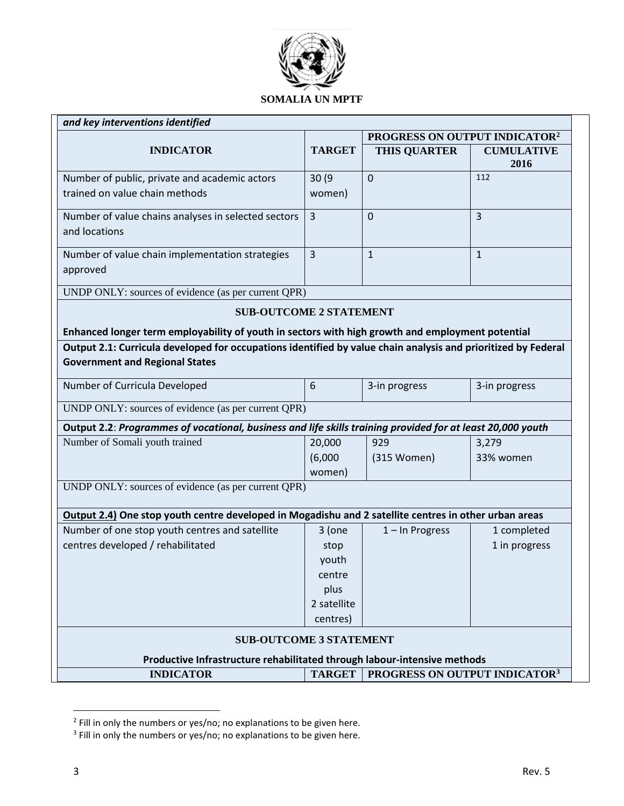

| and key interventions identified                                                                                                                       |                   |                                           |                           |  |
|--------------------------------------------------------------------------------------------------------------------------------------------------------|-------------------|-------------------------------------------|---------------------------|--|
|                                                                                                                                                        |                   | PROGRESS ON OUTPUT INDICATOR <sup>2</sup> |                           |  |
| <b>INDICATOR</b>                                                                                                                                       | <b>TARGET</b>     | <b>THIS QUARTER</b>                       | <b>CUMULATIVE</b><br>2016 |  |
| Number of public, private and academic actors                                                                                                          | 30 (9             | $\overline{0}$                            | 112                       |  |
| trained on value chain methods                                                                                                                         | women)            |                                           |                           |  |
| Number of value chains analyses in selected sectors<br>and locations                                                                                   | $\overline{3}$    | $\overline{0}$                            | $\overline{3}$            |  |
| Number of value chain implementation strategies                                                                                                        | 3                 | $\mathbf{1}$                              | $\mathbf{1}$              |  |
| approved                                                                                                                                               |                   |                                           |                           |  |
| UNDP ONLY: sources of evidence (as per current QPR)                                                                                                    |                   |                                           |                           |  |
| <b>SUB-OUTCOME 2 STATEMENT</b>                                                                                                                         |                   |                                           |                           |  |
| Enhanced longer term employability of youth in sectors with high growth and employment potential                                                       |                   |                                           |                           |  |
| Output 2.1: Curricula developed for occupations identified by value chain analysis and prioritized by Federal<br><b>Government and Regional States</b> |                   |                                           |                           |  |
| Number of Curricula Developed                                                                                                                          | 6                 | 3-in progress                             | 3-in progress             |  |
| UNDP ONLY: sources of evidence (as per current QPR)                                                                                                    |                   |                                           |                           |  |
| Output 2.2: Programmes of vocational, business and life skills training provided for at least 20,000 youth                                             |                   |                                           |                           |  |
| Number of Somali youth trained                                                                                                                         | 20,000            | 929                                       | 3,279                     |  |
|                                                                                                                                                        | (6,000)<br>women) | (315 Women)                               | 33% women                 |  |
| UNDP ONLY: sources of evidence (as per current QPR)                                                                                                    |                   |                                           |                           |  |
|                                                                                                                                                        |                   |                                           |                           |  |
| Output 2.4) One stop youth centre developed in Mogadishu and 2 satellite centres in other urban areas                                                  |                   |                                           |                           |  |
| Number of one stop youth centres and satellite                                                                                                         | 3 (one            | $1 -$ In Progress                         | 1 completed               |  |
| centres developed / rehabilitated                                                                                                                      | stop              |                                           | 1 in progress             |  |
|                                                                                                                                                        | youth             |                                           |                           |  |
|                                                                                                                                                        | centre<br>plus    |                                           |                           |  |
|                                                                                                                                                        | 2 satellite       |                                           |                           |  |
|                                                                                                                                                        | centres)          |                                           |                           |  |
| <b>SUB-OUTCOME 3 STATEMENT</b>                                                                                                                         |                   |                                           |                           |  |
| Productive Infrastructure rehabilitated through labour-intensive methods                                                                               |                   |                                           |                           |  |
| <b>INDICATOR</b>                                                                                                                                       | <b>TARGET</b>     | PROGRESS ON OUTPUT INDICATOR <sup>3</sup> |                           |  |

<sup>&</sup>lt;sup>2</sup> Fill in only the numbers or yes/no; no explanations to be given here.

 $\overline{a}$ 

<sup>&</sup>lt;sup>3</sup> Fill in only the numbers or yes/no; no explanations to be given here.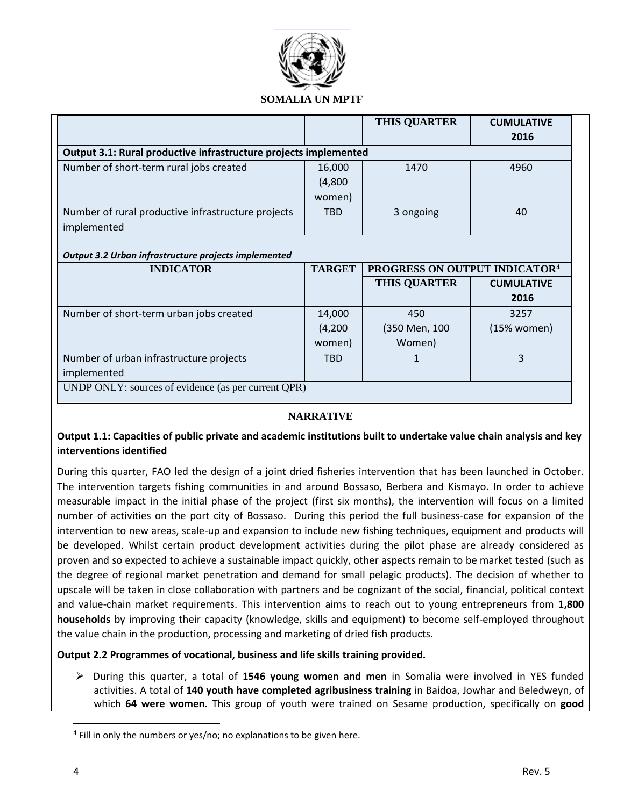

### **SOMALIA UN MPTF**

|                                                                  |               | <b>THIS QUARTER</b>                       | <b>CUMULATIVE</b> |
|------------------------------------------------------------------|---------------|-------------------------------------------|-------------------|
|                                                                  |               |                                           | 2016              |
| Output 3.1: Rural productive infrastructure projects implemented |               |                                           |                   |
| Number of short-term rural jobs created                          | 16,000        | 1470                                      | 4960              |
|                                                                  | (4,800)       |                                           |                   |
|                                                                  | women)        |                                           |                   |
| Number of rural productive infrastructure projects               | <b>TBD</b>    | 3 ongoing                                 | 40                |
| implemented                                                      |               |                                           |                   |
|                                                                  |               |                                           |                   |
| Output 3.2 Urban infrastructure projects implemented             |               |                                           |                   |
| <b>INDICATOR</b>                                                 | <b>TARGET</b> | PROGRESS ON OUTPUT INDICATOR <sup>4</sup> |                   |
|                                                                  |               | <b>THIS QUARTER</b>                       | <b>CUMULATIVE</b> |
|                                                                  |               |                                           | 2016              |
| Number of short-term urban jobs created                          | 14,000        | 450                                       | 3257              |
|                                                                  | (4,200)       | (350 Men, 100                             | (15% women)       |
|                                                                  | women)        | Women)                                    |                   |
|                                                                  |               |                                           |                   |
| Number of urban infrastructure projects                          | <b>TBD</b>    |                                           | 3                 |
| implemented                                                      |               |                                           |                   |
| UNDP ONLY: sources of evidence (as per current QPR)              |               |                                           |                   |

#### **NARRATIVE**

### **Output 1.1: Capacities of public private and academic institutions built to undertake value chain analysis and key interventions identified**

During this quarter, FAO led the design of a joint dried fisheries intervention that has been launched in October. The intervention targets fishing communities in and around Bossaso, Berbera and Kismayo. In order to achieve measurable impact in the initial phase of the project (first six months), the intervention will focus on a limited number of activities on the port city of Bossaso. During this period the full business-case for expansion of the intervention to new areas, scale-up and expansion to include new fishing techniques, equipment and products will be developed. Whilst certain product development activities during the pilot phase are already considered as proven and so expected to achieve a sustainable impact quickly, other aspects remain to be market tested (such as the degree of regional market penetration and demand for small pelagic products). The decision of whether to upscale will be taken in close collaboration with partners and be cognizant of the social, financial, political context and value-chain market requirements. This intervention aims to reach out to young entrepreneurs from **1,800 households** by improving their capacity (knowledge, skills and equipment) to become self-employed throughout the value chain in the production, processing and marketing of dried fish products.

#### **Output 2.2 Programmes of vocational, business and life skills training provided.**

 During this quarter, a total of **1546 young women and men** in Somalia were involved in YES funded activities. A total of **140 youth have completed agribusiness training** in Baidoa, Jowhar and Beledweyn, of which **64 were women.** This group of youth were trained on Sesame production, specifically on **good** 

 $\overline{\phantom{a}}$ 

<sup>&</sup>lt;sup>4</sup> Fill in only the numbers or yes/no; no explanations to be given here.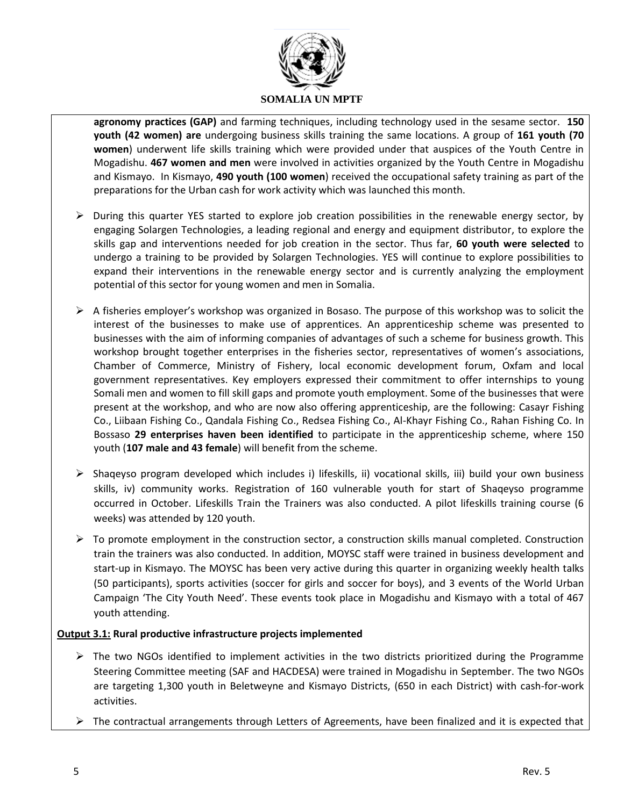

**agronomy practices (GAP)** and farming techniques, including technology used in the sesame sector. **150 youth (42 women) are** undergoing business skills training the same locations. A group of **161 youth (70 women**) underwent life skills training which were provided under that auspices of the Youth Centre in Mogadishu. **467 women and men** were involved in activities organized by the Youth Centre in Mogadishu and Kismayo. In Kismayo, **490 youth (100 women**) received the occupational safety training as part of the preparations for the Urban cash for work activity which was launched this month.

- $\triangleright$  During this quarter YES started to explore job creation possibilities in the renewable energy sector, by engaging Solargen Technologies, a leading regional and energy and equipment distributor, to explore the skills gap and interventions needed for job creation in the sector. Thus far, **60 youth were selected** to undergo a training to be provided by Solargen Technologies. YES will continue to explore possibilities to expand their interventions in the renewable energy sector and is currently analyzing the employment potential of this sector for young women and men in Somalia.
- $\triangleright$  A fisheries employer's workshop was organized in Bosaso. The purpose of this workshop was to solicit the interest of the businesses to make use of apprentices. An apprenticeship scheme was presented to businesses with the aim of informing companies of advantages of such a scheme for business growth. This workshop brought together enterprises in the fisheries sector, representatives of women's associations, Chamber of Commerce, Ministry of Fishery, local economic development forum, Oxfam and local government representatives. Key employers expressed their commitment to offer internships to young Somali men and women to fill skill gaps and promote youth employment. Some of the businesses that were present at the workshop, and who are now also offering apprenticeship, are the following: Casayr Fishing Co., Liibaan Fishing Co., Qandala Fishing Co., Redsea Fishing Co., Al-Khayr Fishing Co., Rahan Fishing Co. In Bossaso **29 enterprises haven been identified** to participate in the apprenticeship scheme, where 150 youth (**107 male and 43 female**) will benefit from the scheme.
- $\triangleright$  Shaqeyso program developed which includes i) lifeskills, ii) vocational skills, iii) build your own business skills, iv) community works. Registration of 160 vulnerable youth for start of Shaqeyso programme occurred in October. Lifeskills Train the Trainers was also conducted. A pilot lifeskills training course (6 weeks) was attended by 120 youth.
- $\triangleright$  To promote employment in the construction sector, a construction skills manual completed. Construction train the trainers was also conducted. In addition, MOYSC staff were trained in business development and start-up in Kismayo. The MOYSC has been very active during this quarter in organizing weekly health talks (50 participants), sports activities (soccer for girls and soccer for boys), and 3 events of the World Urban Campaign 'The City Youth Need'. These events took place in Mogadishu and Kismayo with a total of 467 youth attending.

#### **Output 3.1: Rural productive infrastructure projects implemented**

- $\triangleright$  The two NGOs identified to implement activities in the two districts prioritized during the Programme Steering Committee meeting (SAF and HACDESA) were trained in Mogadishu in September. The two NGOs are targeting 1,300 youth in Beletweyne and Kismayo Districts, (650 in each District) with cash-for-work activities.
- $\triangleright$  The contractual arrangements through Letters of Agreements, have been finalized and it is expected that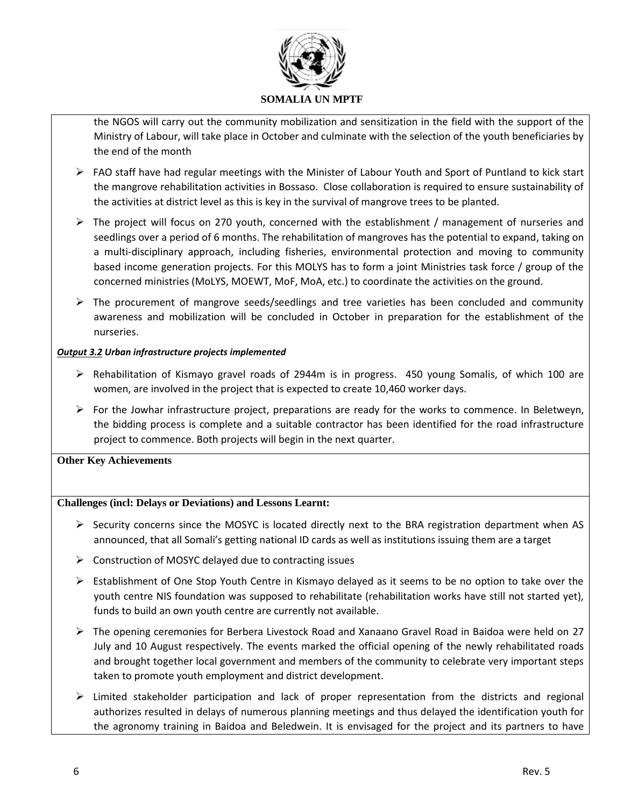

the NGOS will carry out the community mobilization and sensitization in the field with the support of the Ministry of Labour, will take place in October and culminate with the selection of the youth beneficiaries by the end of the month

- $\triangleright$  FAO staff have had regular meetings with the Minister of Labour Youth and Sport of Puntland to kick start the mangrove rehabilitation activities in Bossaso. Close collaboration is required to ensure sustainability of the activities at district level as this is key in the survival of mangrove trees to be planted.
- $\triangleright$  The project will focus on 270 youth, concerned with the establishment / management of nurseries and seedlings over a period of 6 months. The rehabilitation of mangroves has the potential to expand, taking on a multi-disciplinary approach, including fisheries, environmental protection and moving to community based income generation projects. For this MOLYS has to form a joint Ministries task force / group of the concerned ministries (MoLYS, MOEWT, MoF, MoA, etc.) to coordinate the activities on the ground.
- $\triangleright$  The procurement of mangrove seeds/seedlings and tree varieties has been concluded and community awareness and mobilization will be concluded in October in preparation for the establishment of the nurseries.

#### *Output 3.2 Urban infrastructure projects implemented*

- $\triangleright$  Rehabilitation of Kismayo gravel roads of 2944m is in progress. 450 young Somalis, of which 100 are women, are involved in the project that is expected to create 10,460 worker days.
- $\triangleright$  For the Jowhar infrastructure project, preparations are ready for the works to commence. In Beletweyn, the bidding process is complete and a suitable contractor has been identified for the road infrastructure project to commence. Both projects will begin in the next quarter.

#### **Other Key Achievements**

### **Challenges (incl: Delays or Deviations) and Lessons Learnt:**

- $\triangleright$  Security concerns since the MOSYC is located directly next to the BRA registration department when AS announced, that all Somali's getting national ID cards as well as institutions issuing them are a target
- $\triangleright$  Construction of MOSYC delayed due to contracting issues
- $\triangleright$  Establishment of One Stop Youth Centre in Kismayo delayed as it seems to be no option to take over the youth centre NIS foundation was supposed to rehabilitate (rehabilitation works have still not started yet), funds to build an own youth centre are currently not available.
- The opening ceremonies for Berbera Livestock Road and Xanaano Gravel Road in Baidoa were held on 27 July and 10 August respectively. The events marked the official opening of the newly rehabilitated roads and brought together local government and members of the community to celebrate very important steps taken to promote youth employment and district development.
- $\triangleright$  Limited stakeholder participation and lack of proper representation from the districts and regional authorizes resulted in delays of numerous planning meetings and thus delayed the identification youth for the agronomy training in Baidoa and Beledwein. It is envisaged for the project and its partners to have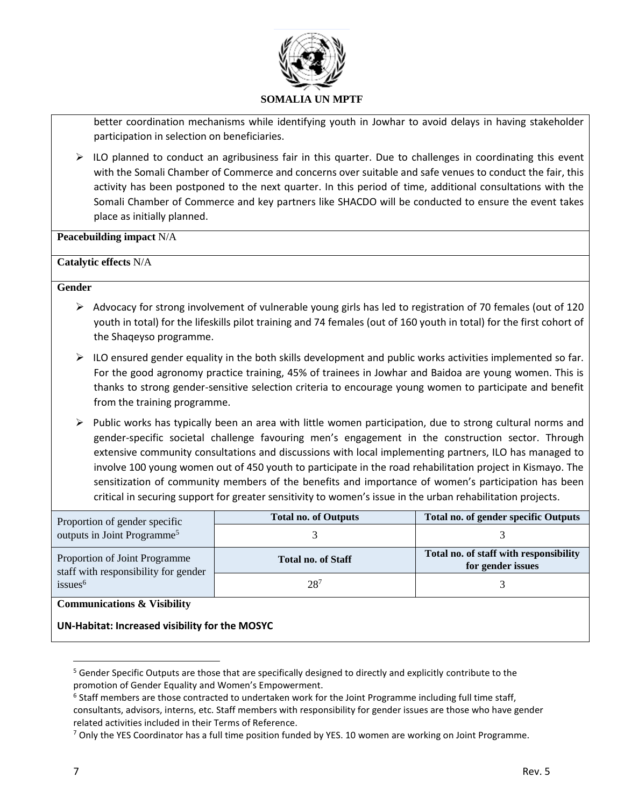

better coordination mechanisms while identifying youth in Jowhar to avoid delays in having stakeholder participation in selection on beneficiaries.

 $\triangleright$  ILO planned to conduct an agribusiness fair in this quarter. Due to challenges in coordinating this event with the Somali Chamber of Commerce and concerns over suitable and safe venues to conduct the fair, this activity has been postponed to the next quarter. In this period of time, additional consultations with the Somali Chamber of Commerce and key partners like SHACDO will be conducted to ensure the event takes place as initially planned.

**Peacebuilding impact** N/A

#### **Catalytic effects** N/A

#### **Gender**

- $\triangleright$  Advocacy for strong involvement of vulnerable young girls has led to registration of 70 females (out of 120 youth in total) for the lifeskills pilot training and 74 females (out of 160 youth in total) for the first cohort of the Shaqeyso programme.
- $\triangleright$  ILO ensured gender equality in the both skills development and public works activities implemented so far. For the good agronomy practice training, 45% of trainees in Jowhar and Baidoa are young women. This is thanks to strong gender-sensitive selection criteria to encourage young women to participate and benefit from the training programme.
- $\triangleright$  Public works has typically been an area with little women participation, due to strong cultural norms and gender-specific societal challenge favouring men's engagement in the construction sector. Through extensive community consultations and discussions with local implementing partners, ILO has managed to involve 100 young women out of 450 youth to participate in the road rehabilitation project in Kismayo. The sensitization of community members of the benefits and importance of women's participation has been critical in securing support for greater sensitivity to women's issue in the urban rehabilitation projects.

| Proportion of gender specific                                         | <b>Total no. of Outputs</b> | <b>Total no. of gender specific Outputs</b>                 |  |  |  |  |  |
|-----------------------------------------------------------------------|-----------------------------|-------------------------------------------------------------|--|--|--|--|--|
| outputs in Joint Programme <sup>5</sup>                               |                             |                                                             |  |  |  |  |  |
| Proportion of Joint Programme<br>staff with responsibility for gender | <b>Total no. of Staff</b>   | Total no. of staff with responsibility<br>for gender issues |  |  |  |  |  |
| issues <sup>6</sup>                                                   | $28^{7}$                    |                                                             |  |  |  |  |  |
| <b>Communications &amp; Visibility</b>                                |                             |                                                             |  |  |  |  |  |

**UN-Habitat: Increased visibility for the MOSYC**

 $\overline{\phantom{a}}$ 

<sup>&</sup>lt;sup>5</sup> Gender Specific Outputs are those that are specifically designed to directly and explicitly contribute to the promotion of Gender Equality and Women's Empowerment.

<sup>&</sup>lt;sup>6</sup> Staff members are those contracted to undertaken work for the Joint Programme including full time staff, consultants, advisors, interns, etc. Staff members with responsibility for gender issues are those who have gender related activities included in their Terms of Reference.

 $7$  Only the YES Coordinator has a full time position funded by YES. 10 women are working on Joint Programme.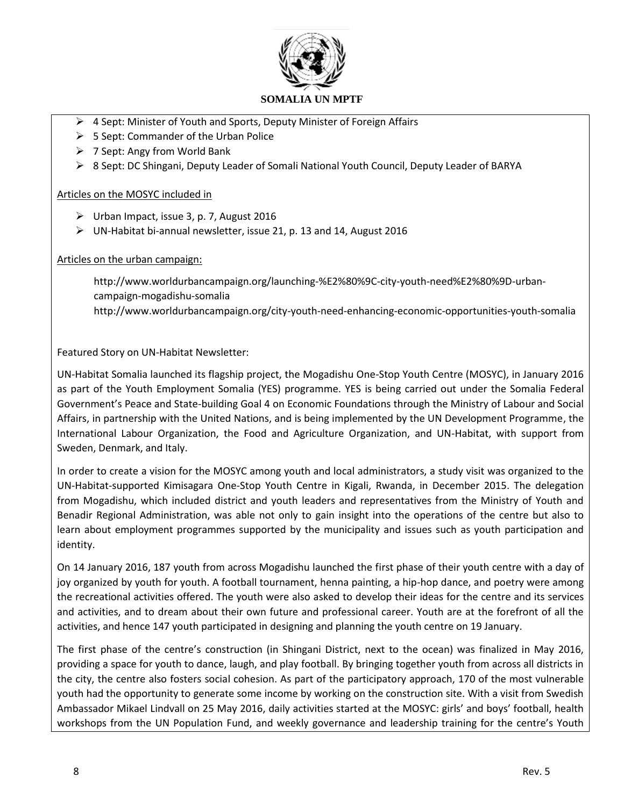

- ▶ 4 Sept: Minister of Youth and Sports, Deputy Minister of Foreign Affairs
- $\geq$  5 Sept: Commander of the Urban Police
- $\triangleright$  7 Sept: Angy from World Bank
- 8 Sept: DC Shingani, Deputy Leader of Somali National Youth Council, Deputy Leader of BARYA

#### Articles on the MOSYC included in

- $\triangleright$  Urban Impact, issue 3, p. 7, August 2016
- $\triangleright$  UN-Habitat bi-annual newsletter, issue 21, p. 13 and 14, August 2016

#### Articles on the urban campaign:

[http://www.worldurbancampaign.org/launching-%E2%80%9C-city-youth-need%E2%80%9D-urban](http://www.worldurbancampaign.org/launching-%E2%80%9C-city-youth-need%E2%80%9D-urban-campaign-mogadishu-somalia)[campaign-mogadishu-somalia](http://www.worldurbancampaign.org/launching-%E2%80%9C-city-youth-need%E2%80%9D-urban-campaign-mogadishu-somalia) <http://www.worldurbancampaign.org/city-youth-need-enhancing-economic-opportunities-youth-somalia>

Featured Story on UN-Habitat Newsletter:

UN-Habitat Somalia launched its flagship project, the Mogadishu One-Stop Youth Centre (MOSYC), in January 2016 as part of the Youth Employment Somalia (YES) programme. YES is being carried out under the Somalia Federal Government's Peace and State-building Goal 4 on Economic Foundations through the Ministry of Labour and Social Affairs, in partnership with the United Nations, and is being implemented by the UN Development Programme, the International Labour Organization, the Food and Agriculture Organization, and UN-Habitat, with support from Sweden, Denmark, and Italy.

In order to create a vision for the MOSYC among youth and local administrators, a study visit was organized to the UN-Habitat-supported Kimisagara One-Stop Youth Centre in Kigali, Rwanda, in December 2015. The delegation from Mogadishu, which included district and youth leaders and representatives from the Ministry of Youth and Benadir Regional Administration, was able not only to gain insight into the operations of the centre but also to learn about employment programmes supported by the municipality and issues such as youth participation and identity.

On 14 January 2016, 187 youth from across Mogadishu launched the first phase of their youth centre with a day of joy organized by youth for youth. A football tournament, henna painting, a hip-hop dance, and poetry were among the recreational activities offered. The youth were also asked to develop their ideas for the centre and its services and activities, and to dream about their own future and professional career. Youth are at the forefront of all the activities, and hence 147 youth participated in designing and planning the youth centre on 19 January.

The first phase of the centre's construction (in Shingani District, next to the ocean) was finalized in May 2016, providing a space for youth to dance, laugh, and play football. By bringing together youth from across all districts in the city, the centre also fosters social cohesion. As part of the participatory approach, 170 of the most vulnerable youth had the opportunity to generate some income by working on the construction site. With a visit from Swedish Ambassador Mikael Lindvall on 25 May 2016, daily activities started at the MOSYC: girls' and boys' football, health workshops from the UN Population Fund, and weekly governance and leadership training for the centre's Youth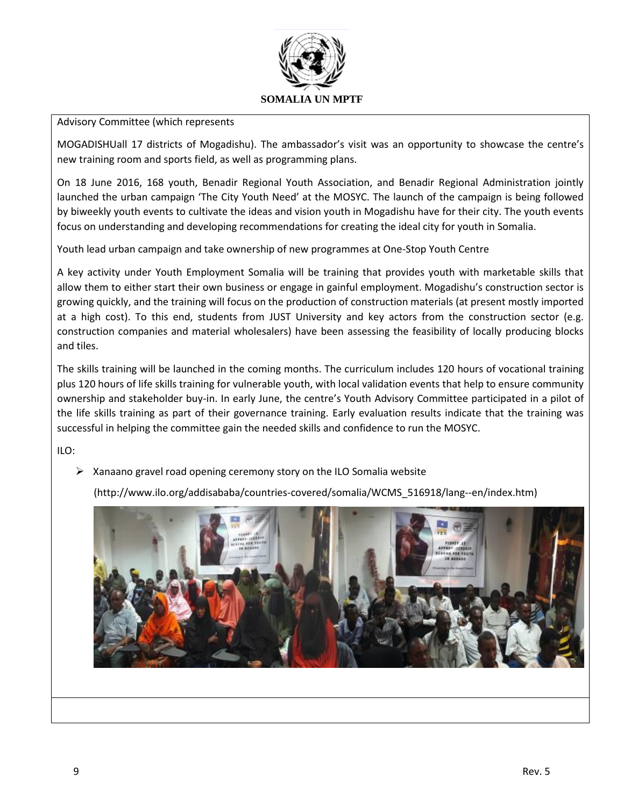

#### Advisory Committee (which represents

MOGADISHUall 17 districts of Mogadishu). The ambassador's visit was an opportunity to showcase the centre's new training room and sports field, as well as programming plans.

On 18 June 2016, 168 youth, Benadir Regional Youth Association, and Benadir Regional Administration jointly launched the urban campaign 'The City Youth Need' at the MOSYC. The launch of the campaign is being followed by biweekly youth events to cultivate the ideas and vision youth in Mogadishu have for their city. The youth events focus on understanding and developing recommendations for creating the ideal city for youth in Somalia.

Youth lead urban campaign and take ownership of new programmes at One-Stop Youth Centre

A key activity under Youth Employment Somalia will be training that provides youth with marketable skills that allow them to either start their own business or engage in gainful employment. Mogadishu's construction sector is growing quickly, and the training will focus on the production of construction materials (at present mostly imported at a high cost). To this end, students from JUST University and key actors from the construction sector (e.g. construction companies and material wholesalers) have been assessing the feasibility of locally producing blocks and tiles.

The skills training will be launched in the coming months. The curriculum includes 120 hours of vocational training plus 120 hours of life skills training for vulnerable youth, with local validation events that help to ensure community ownership and stakeholder buy-in. In early June, the centre's Youth Advisory Committee participated in a pilot of the life skills training as part of their governance training. Early evaluation results indicate that the training was successful in helping the committee gain the needed skills and confidence to run the MOSYC.

ILO:

 $\triangleright$  Xanaano gravel road opening ceremony story on the ILO Somalia website

[\(http://www.ilo.org/addisababa/countries-covered/somalia/WCMS\\_516918/lang--en/index.htm\)](http://www.ilo.org/addisababa/countries-covered/somalia/WCMS_516918/lang--en/index.htm)

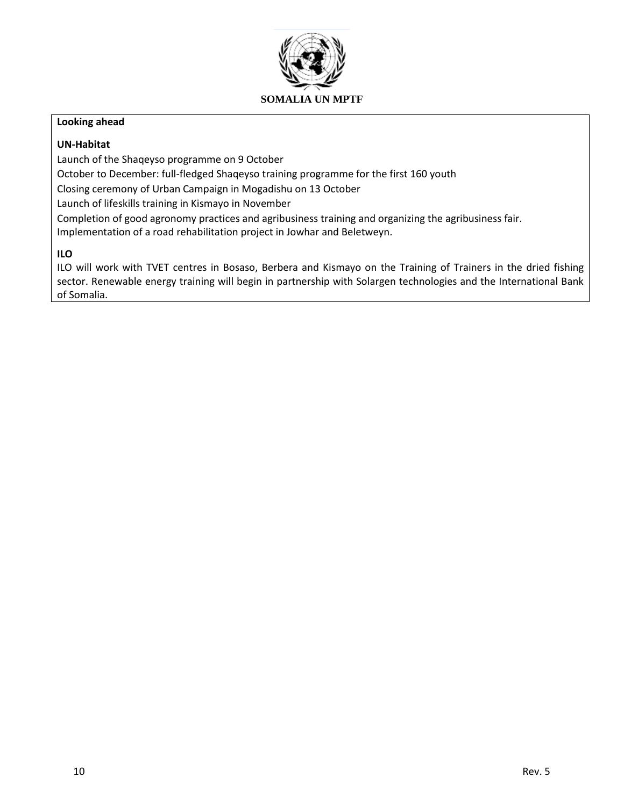

#### **Looking ahead**

#### **UN-Habitat**

Launch of the Shaqeyso programme on 9 October

October to December: full-fledged Shaqeyso training programme for the first 160 youth

Closing ceremony of Urban Campaign in Mogadishu on 13 October

Launch of lifeskills training in Kismayo in November

Completion of good agronomy practices and agribusiness training and organizing the agribusiness fair. Implementation of a road rehabilitation project in Jowhar and Beletweyn.

## **ILO**

ILO will work with TVET centres in Bosaso, Berbera and Kismayo on the Training of Trainers in the dried fishing sector. Renewable energy training will begin in partnership with Solargen technologies and the International Bank of Somalia.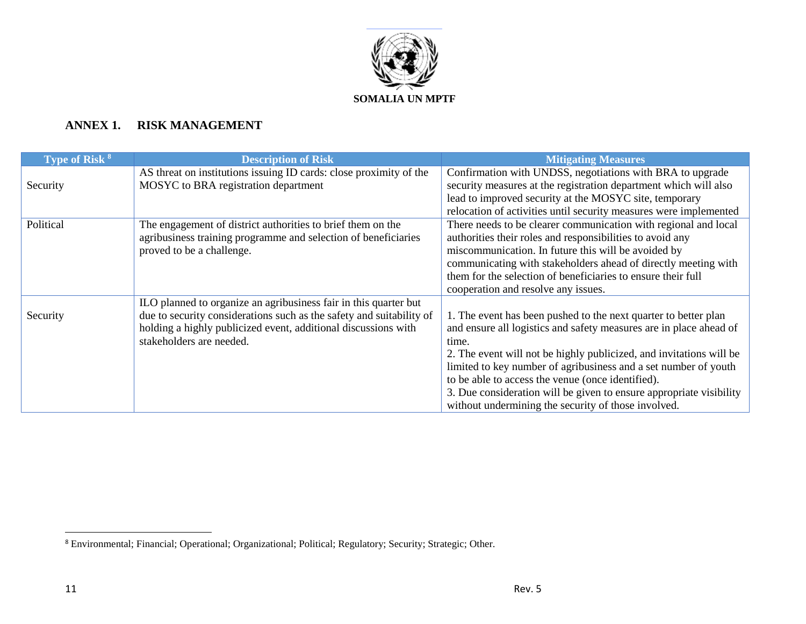

# **ANNEX 1. RISK MANAGEMENT**

| <b>Type of Risk 8</b> | <b>Description of Risk</b>                                           | <b>Mitigating Measures</b>                                          |
|-----------------------|----------------------------------------------------------------------|---------------------------------------------------------------------|
|                       | AS threat on institutions issuing ID cards: close proximity of the   | Confirmation with UNDSS, negotiations with BRA to upgrade           |
| Security              | MOSYC to BRA registration department                                 | security measures at the registration department which will also    |
|                       |                                                                      | lead to improved security at the MOSYC site, temporary              |
|                       |                                                                      | relocation of activities until security measures were implemented   |
| Political             | The engagement of district authorities to brief them on the          | There needs to be clearer communication with regional and local     |
|                       | agribusiness training programme and selection of beneficiaries       | authorities their roles and responsibilities to avoid any           |
|                       | proved to be a challenge.                                            | miscommunication. In future this will be avoided by                 |
|                       |                                                                      | communicating with stakeholders ahead of directly meeting with      |
|                       |                                                                      | them for the selection of beneficiaries to ensure their full        |
|                       |                                                                      | cooperation and resolve any issues.                                 |
|                       | ILO planned to organize an agribusiness fair in this quarter but     |                                                                     |
| Security              | due to security considerations such as the safety and suitability of | 1. The event has been pushed to the next quarter to better plan     |
|                       | holding a highly publicized event, additional discussions with       | and ensure all logistics and safety measures are in place ahead of  |
|                       | stakeholders are needed.                                             | time.                                                               |
|                       |                                                                      | 2. The event will not be highly publicized, and invitations will be |
|                       |                                                                      | limited to key number of agribusiness and a set number of youth     |
|                       |                                                                      | to be able to access the venue (once identified).                   |
|                       |                                                                      | 3. Due consideration will be given to ensure appropriate visibility |
|                       |                                                                      | without undermining the security of those involved.                 |

 $\overline{a}$ 

<sup>&</sup>lt;sup>8</sup> Environmental; Financial; Operational; Organizational; Political; Regulatory; Security; Strategic; Other.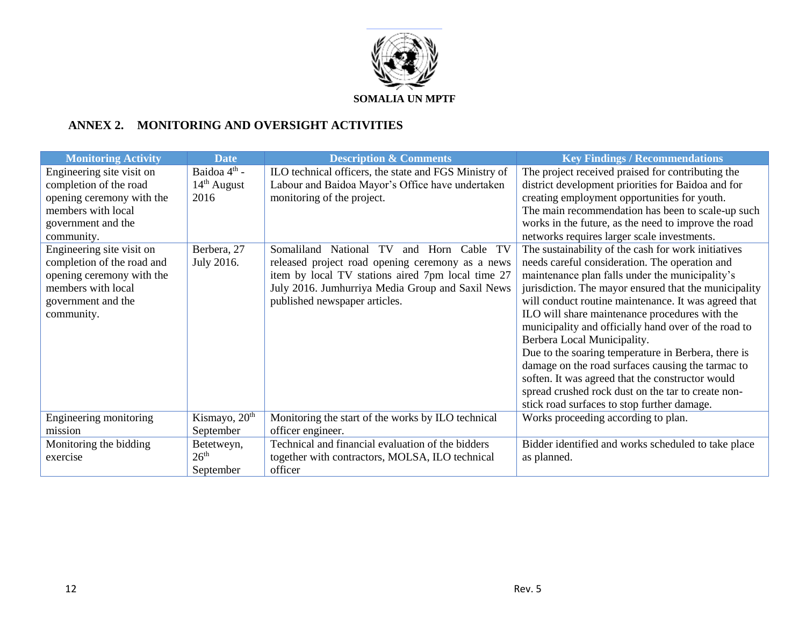

# **ANNEX 2. MONITORING AND OVERSIGHT ACTIVITIES**

| <b>Monitoring Activity</b> | <b>Date</b>              | <b>Description &amp; Comments</b>                          | <b>Key Findings / Recommendations</b>                 |
|----------------------------|--------------------------|------------------------------------------------------------|-------------------------------------------------------|
| Engineering site visit on  | Baidoa 4 <sup>th</sup> - | ILO technical officers, the state and FGS Ministry of      | The project received praised for contributing the     |
| completion of the road     | $14th$ August            | Labour and Baidoa Mayor's Office have undertaken           | district development priorities for Baidoa and for    |
| opening ceremony with the  | 2016                     | monitoring of the project.                                 | creating employment opportunities for youth.          |
| members with local         |                          |                                                            | The main recommendation has been to scale-up such     |
| government and the         |                          |                                                            | works in the future, as the need to improve the road  |
| community.                 |                          |                                                            | networks requires larger scale investments.           |
| Engineering site visit on  | Berbera, 27              | Somaliland<br>TV<br>TV<br>National<br>Horn<br>Cable<br>and | The sustainability of the cash for work initiatives   |
| completion of the road and | July 2016.               | released project road opening ceremony as a news           | needs careful consideration. The operation and        |
| opening ceremony with the  |                          | item by local TV stations aired 7pm local time 27          | maintenance plan falls under the municipality's       |
| members with local         |                          | July 2016. Jumhurriya Media Group and Saxil News           | jurisdiction. The mayor ensured that the municipality |
| government and the         |                          | published newspaper articles.                              | will conduct routine maintenance. It was agreed that  |
| community.                 |                          |                                                            | ILO will share maintenance procedures with the        |
|                            |                          |                                                            | municipality and officially hand over of the road to  |
|                            |                          |                                                            | Berbera Local Municipality.                           |
|                            |                          |                                                            | Due to the soaring temperature in Berbera, there is   |
|                            |                          |                                                            | damage on the road surfaces causing the tarmac to     |
|                            |                          |                                                            | soften. It was agreed that the constructor would      |
|                            |                          |                                                            | spread crushed rock dust on the tar to create non-    |
|                            |                          |                                                            | stick road surfaces to stop further damage.           |
| Engineering monitoring     | Kismayo, $20th$          | Monitoring the start of the works by ILO technical         | Works proceeding according to plan.                   |
| mission                    | September                | officer engineer.                                          |                                                       |
| Monitoring the bidding     | Betetweyn,               | Technical and financial evaluation of the bidders          | Bidder identified and works scheduled to take place   |
| exercise                   | 26 <sup>th</sup>         | together with contractors, MOLSA, ILO technical            | as planned.                                           |
|                            | September                | officer                                                    |                                                       |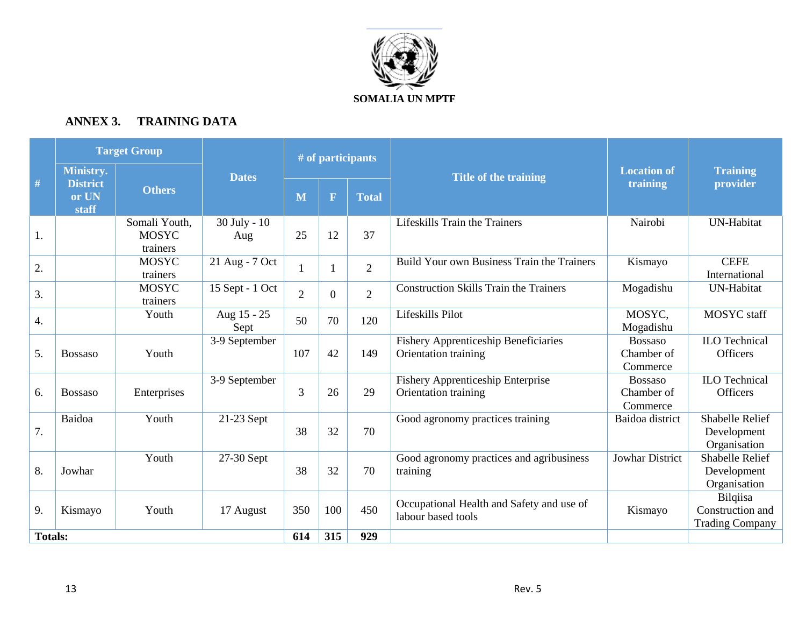

# **ANNEX 3. TRAINING DATA**

|                |                                                | <b>Target Group</b>                       |                     |                |          | # of participants |                                                                     |                                          |                                                        |
|----------------|------------------------------------------------|-------------------------------------------|---------------------|----------------|----------|-------------------|---------------------------------------------------------------------|------------------------------------------|--------------------------------------------------------|
| #              | Ministry.<br><b>District</b><br>or UN<br>staff | <b>Others</b>                             | <b>Dates</b>        | M              | F        | <b>Total</b>      | <b>Title of the training</b>                                        | <b>Location of</b><br>training           | <b>Training</b><br>provider                            |
| 1.             |                                                | Somali Youth,<br><b>MOSYC</b><br>trainers | 30 July - 10<br>Aug | 25             | 12       | 37                | Lifeskills Train the Trainers                                       | Nairobi                                  | <b>UN-Habitat</b>                                      |
| 2.             |                                                | <b>MOSYC</b><br>trainers                  | 21 Aug - 7 Oct      |                |          | $\overline{2}$    | Build Your own Business Train the Trainers                          | Kismayo                                  | <b>CEFE</b><br>International                           |
| 3.             |                                                | <b>MOSYC</b><br>trainers                  | 15 Sept - 1 Oct     | $\overline{2}$ | $\theta$ | $\overline{2}$    | <b>Construction Skills Train the Trainers</b>                       | Mogadishu                                | UN-Habitat                                             |
| 4.             |                                                | Youth                                     | Aug 15 - 25<br>Sept | 50             | 70       | 120               | Lifeskills Pilot                                                    | MOSYC.<br>Mogadishu                      | MOSYC staff                                            |
| 5.             | <b>Bossaso</b>                                 | Youth                                     | 3-9 September       | 107            | 42       | 149               | <b>Fishery Apprenticeship Beneficiaries</b><br>Orientation training | <b>Bossaso</b><br>Chamber of<br>Commerce | <b>ILO</b> Technical<br><b>Officers</b>                |
| 6.             | <b>Bossaso</b>                                 | Enterprises                               | 3-9 September       | 3              | 26       | 29                | <b>Fishery Apprenticeship Enterprise</b><br>Orientation training    | <b>Bossaso</b><br>Chamber of<br>Commerce | <b>ILO</b> Technical<br><b>Officers</b>                |
| 7.             | Baidoa                                         | Youth                                     | 21-23 Sept          | 38             | 32       | 70                | Good agronomy practices training                                    | Baidoa district                          | <b>Shabelle Relief</b><br>Development<br>Organisation  |
| 8.             | Jowhar                                         | Youth                                     | 27-30 Sept          | 38             | 32       | 70                | Good agronomy practices and agribusiness<br>training                | <b>Jowhar District</b>                   | <b>Shabelle Relief</b><br>Development<br>Organisation  |
| 9.             | Kismayo                                        | Youth                                     | 17 August           | 350            | 100      | 450               | Occupational Health and Safety and use of<br>labour based tools     | Kismayo                                  | Bilqiisa<br>Construction and<br><b>Trading Company</b> |
| <b>Totals:</b> |                                                |                                           |                     | 614            | 315      | 929               |                                                                     |                                          |                                                        |